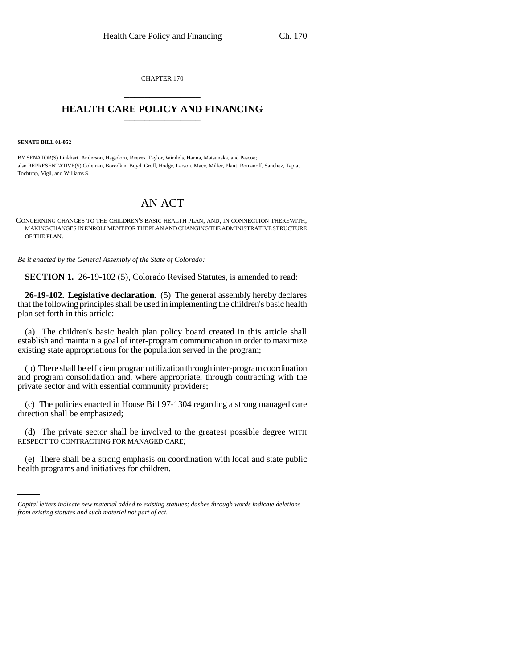CHAPTER 170 \_\_\_\_\_\_\_\_\_\_\_\_\_\_\_

## **HEALTH CARE POLICY AND FINANCING** \_\_\_\_\_\_\_\_\_\_\_\_\_\_\_

**SENATE BILL 01-052**

BY SENATOR(S) Linkhart, Anderson, Hagedorn, Reeves, Taylor, Windels, Hanna, Matsunaka, and Pascoe; also REPRESENTATIVE(S) Coleman, Borodkin, Boyd, Groff, Hodge, Larson, Mace, Miller, Plant, Romanoff, Sanchez, Tapia, Tochtrop, Vigil, and Williams S.

## AN ACT

CONCERNING CHANGES TO THE CHILDREN'S BASIC HEALTH PLAN, AND, IN CONNECTION THEREWITH, MAKING CHANGES IN ENROLLMENT FOR THE PLAN AND CHANGING THE ADMINISTRATIVE STRUCTURE OF THE PLAN.

*Be it enacted by the General Assembly of the State of Colorado:*

**SECTION 1.** 26-19-102 (5), Colorado Revised Statutes, is amended to read:

**26-19-102. Legislative declaration.** (5) The general assembly hereby declares that the following principles shall be used in implementing the children's basic health plan set forth in this article:

(a) The children's basic health plan policy board created in this article shall establish and maintain a goal of inter-program communication in order to maximize existing state appropriations for the population served in the program;

(b) There shall be efficient program utilization through inter-program coordination and program consolidation and, where appropriate, through contracting with the private sector and with essential community providers;

(c) The policies enacted in House Bill 97-1304 regarding a strong managed care direction shall be emphasized;

(d) The private sector shall be involved to the greatest possible degree WITH RESPECT TO CONTRACTING FOR MANAGED CARE;

i<br>Santa Ca (e) There shall be a strong emphasis on coordination with local and state public health programs and initiatives for children.

*Capital letters indicate new material added to existing statutes; dashes through words indicate deletions from existing statutes and such material not part of act.*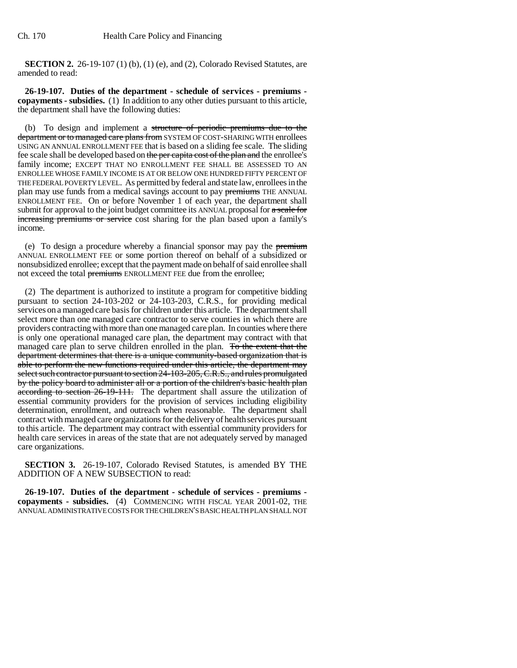**SECTION 2.** 26-19-107 (1) (b), (1) (e), and (2), Colorado Revised Statutes, are amended to read:

**26-19-107. Duties of the department - schedule of services - premiums copayments - subsidies.** (1) In addition to any other duties pursuant to this article, the department shall have the following duties:

(b) To design and implement a structure of periodic premiums due to the department or to managed care plans from SYSTEM OF COST-SHARING WITH enrollees USING AN ANNUAL ENROLLMENT FEE that is based on a sliding fee scale. The sliding fee scale shall be developed based on the per capita cost of the plan and the enrollee's family income; EXCEPT THAT NO ENROLLMENT FEE SHALL BE ASSESSED TO AN ENROLLEE WHOSE FAMILY INCOME IS AT OR BELOW ONE HUNDRED FIFTY PERCENT OF THE FEDERAL POVERTY LEVEL. As permitted by federal and state law, enrollees in the plan may use funds from a medical savings account to pay premiums THE ANNUAL ENROLLMENT FEE. On or before November 1 of each year, the department shall submit for approval to the joint budget committee its ANNUAL proposal for  $\alpha$  scale for increasing premiums or service cost sharing for the plan based upon a family's income.

(e) To design a procedure whereby a financial sponsor may pay the premium ANNUAL ENROLLMENT FEE or some portion thereof on behalf of a subsidized or nonsubsidized enrollee; except that the payment made on behalf of said enrollee shall not exceed the total premiums ENROLLMENT FEE due from the enrollee;

(2) The department is authorized to institute a program for competitive bidding pursuant to section 24-103-202 or 24-103-203, C.R.S., for providing medical services on a managed care basis for children under this article. The department shall select more than one managed care contractor to serve counties in which there are providers contracting with more than one managed care plan. In counties where there is only one operational managed care plan, the department may contract with that managed care plan to serve children enrolled in the plan. To the extent that the department determines that there is a unique community-based organization that is able to perform the new functions required under this article, the department may select such contractor pursuant to section 24-103-205, C.R.S., and rules promulgated by the policy board to administer all or a portion of the children's basic health plan according to section 26-19-111. The department shall assure the utilization of essential community providers for the provision of services including eligibility determination, enrollment, and outreach when reasonable. The department shall contract with managed care organizations for the delivery of health services pursuant to this article. The department may contract with essential community providers for health care services in areas of the state that are not adequately served by managed care organizations.

**SECTION 3.** 26-19-107, Colorado Revised Statutes, is amended BY THE ADDITION OF A NEW SUBSECTION to read:

**26-19-107. Duties of the department - schedule of services - premiums copayments - subsidies.** (4) COMMENCING WITH FISCAL YEAR 2001-02, THE ANNUAL ADMINISTRATIVE COSTS FOR THE CHILDREN'S BASIC HEALTH PLAN SHALL NOT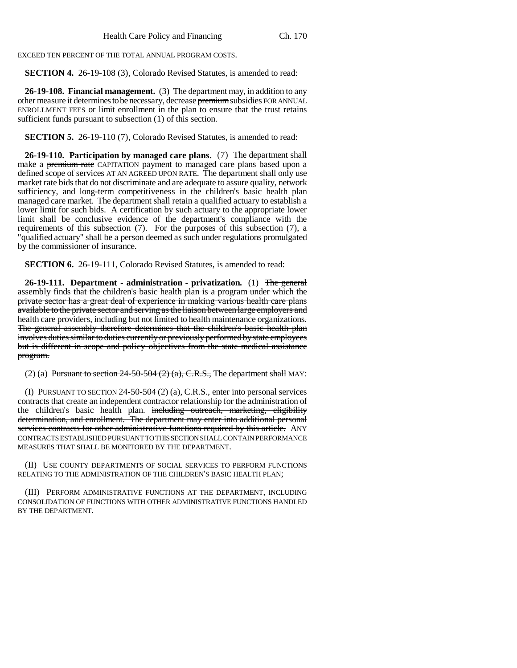EXCEED TEN PERCENT OF THE TOTAL ANNUAL PROGRAM COSTS.

**SECTION 4.** 26-19-108 (3), Colorado Revised Statutes, is amended to read:

**26-19-108. Financial management.** (3) The department may, in addition to any other measure it determines to be necessary, decrease premium subsidies FOR ANNUAL ENROLLMENT FEES or limit enrollment in the plan to ensure that the trust retains sufficient funds pursuant to subsection (1) of this section.

**SECTION 5.** 26-19-110 (7), Colorado Revised Statutes, is amended to read:

**26-19-110. Participation by managed care plans.** (7) The department shall make a premium rate CAPITATION payment to managed care plans based upon a defined scope of services AT AN AGREED UPON RATE. The department shall only use market rate bids that do not discriminate and are adequate to assure quality, network sufficiency, and long-term competitiveness in the children's basic health plan managed care market. The department shall retain a qualified actuary to establish a lower limit for such bids. A certification by such actuary to the appropriate lower limit shall be conclusive evidence of the department's compliance with the requirements of this subsection (7). For the purposes of this subsection (7), a "qualified actuary" shall be a person deemed as such under regulations promulgated by the commissioner of insurance.

**SECTION 6.** 26-19-111, Colorado Revised Statutes, is amended to read:

**26-19-111. Department - administration - privatization.** (1) The general assembly finds that the children's basic health plan is a program under which the private sector has a great deal of experience in making various health care plans available to the private sector and serving as the liaison between large employers and health care providers, including but not limited to health maintenance organizations. The general assembly therefore determines that the children's basic health plan involves duties similar to duties currently or previously performed by state employees but is different in scope and policy objectives from the state medical assistance program.

(2) (a) Pursuant to section  $24-50-504$  (2) (a), C.R.S., The department shall MAY:

(I) PURSUANT TO SECTION 24-50-504 (2) (a), C.R.S., enter into personal services contracts that create an independent contractor relationship for the administration of the children's basic health plan. including outreach, marketing, eligibility determination, and enrollment. The department may enter into additional personal services contracts for other administrative functions required by this article. ANY CONTRACTS ESTABLISHED PURSUANT TO THIS SECTION SHALL CONTAIN PERFORMANCE MEASURES THAT SHALL BE MONITORED BY THE DEPARTMENT.

(II) USE COUNTY DEPARTMENTS OF SOCIAL SERVICES TO PERFORM FUNCTIONS RELATING TO THE ADMINISTRATION OF THE CHILDREN'S BASIC HEALTH PLAN;

(III) PERFORM ADMINISTRATIVE FUNCTIONS AT THE DEPARTMENT, INCLUDING CONSOLIDATION OF FUNCTIONS WITH OTHER ADMINISTRATIVE FUNCTIONS HANDLED BY THE DEPARTMENT.